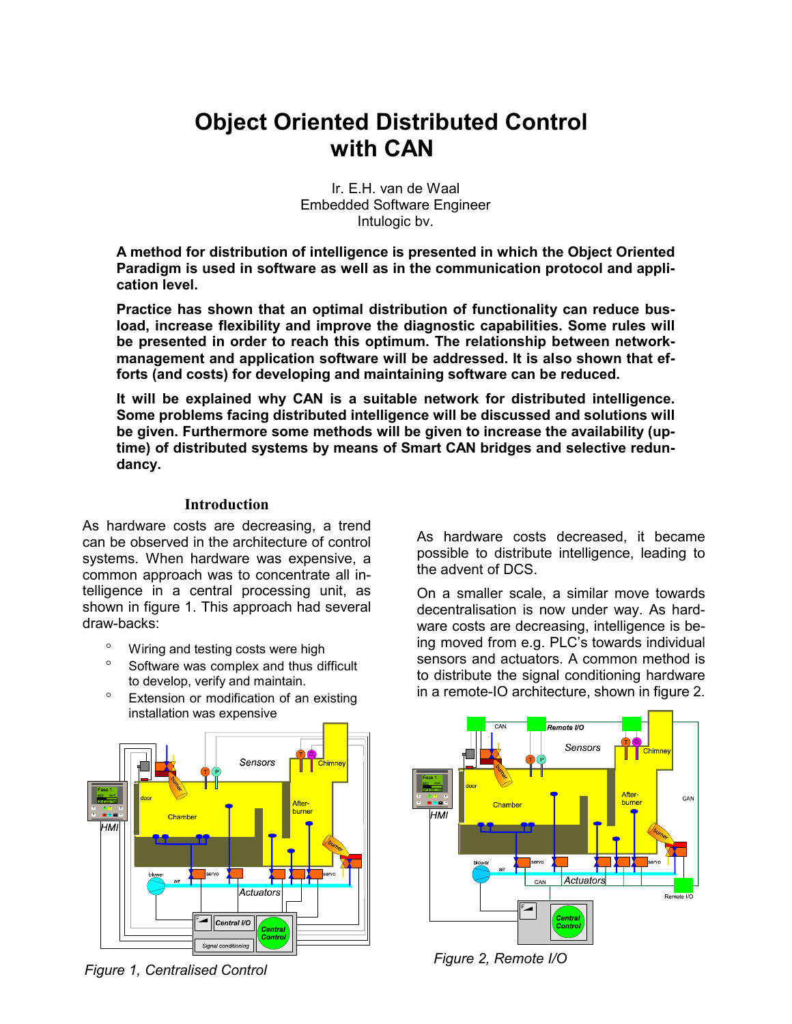# **Object Oriented Distributed Control with CAN**

Ir. E.H. van de Waal Embedded Software Engineer Intulogic bv.

**A method for distribution of intelligence is presented in which the Object Oriented Paradigm is used in software as well as in the communication protocol and application level.** 

**Practice has shown that an optimal distribution of functionality can reduce busload, increase flexibility and improve the diagnostic capabilities. Some rules will be presented in order to reach this optimum. The relationship between networkmanagement and application software will be addressed. It is also shown that efforts (and costs) for developing and maintaining software can be reduced.** 

**It will be explained why CAN is a suitable network for distributed intelligence. Some problems facing distributed intelligence will be discussed and solutions will be given. Furthermore some methods will be given to increase the availability (uptime) of distributed systems by means of Smart CAN bridges and selective redundancy.** 

## **Introduction**

As hardware costs are decreasing, a trend can be observed in the architecture of control systems. When hardware was expensive, a common approach was to concentrate all intelligence in a central processing unit, as shown in figure 1. This approach had several draw-backs:

- Wiring and testing costs were high
- ° Software was complex and thus difficult to develop, verify and maintain.
- ° Extension or modification of an existing installation was expensive



*Figure 1, Centralised Control Figure 2, Remote I/O* 

As hardware costs decreased, it became possible to distribute intelligence, leading to the advent of DCS.

On a smaller scale, a similar move towards decentralisation is now under way. As hardware costs are decreasing, intelligence is being moved from e.g. PLC's towards individual sensors and actuators. A common method is to distribute the signal conditioning hardware in a remote-IO architecture, shown in figure 2.

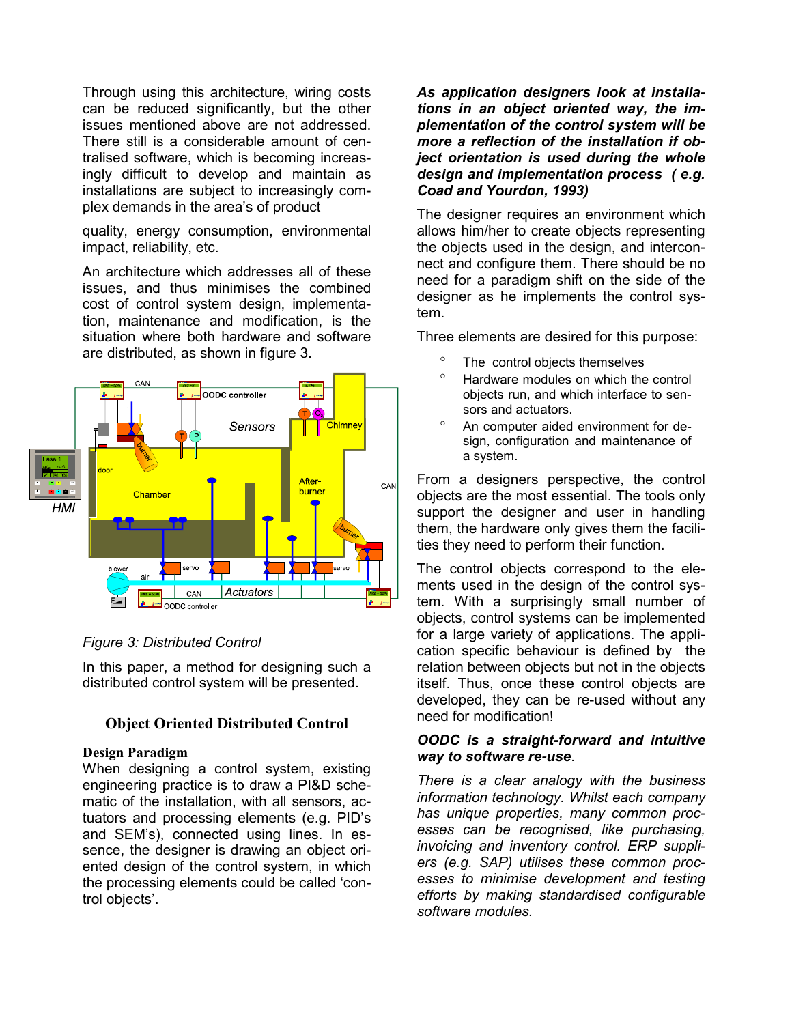Through using this architecture, wiring costs can be reduced significantly, but the other issues mentioned above are not addressed. There still is a considerable amount of centralised software, which is becoming increasingly difficult to develop and maintain as installations are subject to increasingly complex demands in the area's of product

quality, energy consumption, environmental impact, reliability, etc.

An architecture which addresses all of these issues, and thus minimises the combined cost of control system design, implementation, maintenance and modification, is the situation where both hardware and software are distributed, as shown in figure 3.



## *Figure 3: Distributed Control*

In this paper, a method for designing such a distributed control system will be presented.

## **Object Oriented Distributed Control**

#### **Design Paradigm**

When designing a control system, existing engineering practice is to draw a PI&D schematic of the installation, with all sensors, actuators and processing elements (e.g. PID's and SEM's), connected using lines. In essence, the designer is drawing an object oriented design of the control system, in which the processing elements could be called 'control objects'.

*As application designers look at installations in an object oriented way, the implementation of the control system will be more a reflection of the installation if object orientation is used during the whole design and implementation process ( e.g. Coad and Yourdon, 1993)* 

The designer requires an environment which allows him/her to create objects representing the objects used in the design, and interconnect and configure them. There should be no need for a paradigm shift on the side of the designer as he implements the control system.

Three elements are desired for this purpose:

- The control objects themselves
- ° Hardware modules on which the control objects run, and which interface to sensors and actuators.
- ° An computer aided environment for design, configuration and maintenance of a system.

From a designers perspective, the control objects are the most essential. The tools only support the designer and user in handling them, the hardware only gives them the facilities they need to perform their function.

The control objects correspond to the elements used in the design of the control system. With a surprisingly small number of objects, control systems can be implemented for a large variety of applications. The application specific behaviour is defined by the relation between objects but not in the objects itself. Thus, once these control objects are developed, they can be re-used without any need for modification!

## *OODC is a straight-forward and intuitive way to software re-use*.

*There is a clear analogy with the business information technology. Whilst each company has unique properties, many common processes can be recognised, like purchasing, invoicing and inventory control. ERP suppliers (e.g. SAP) utilises these common processes to minimise development and testing efforts by making standardised configurable software modules.*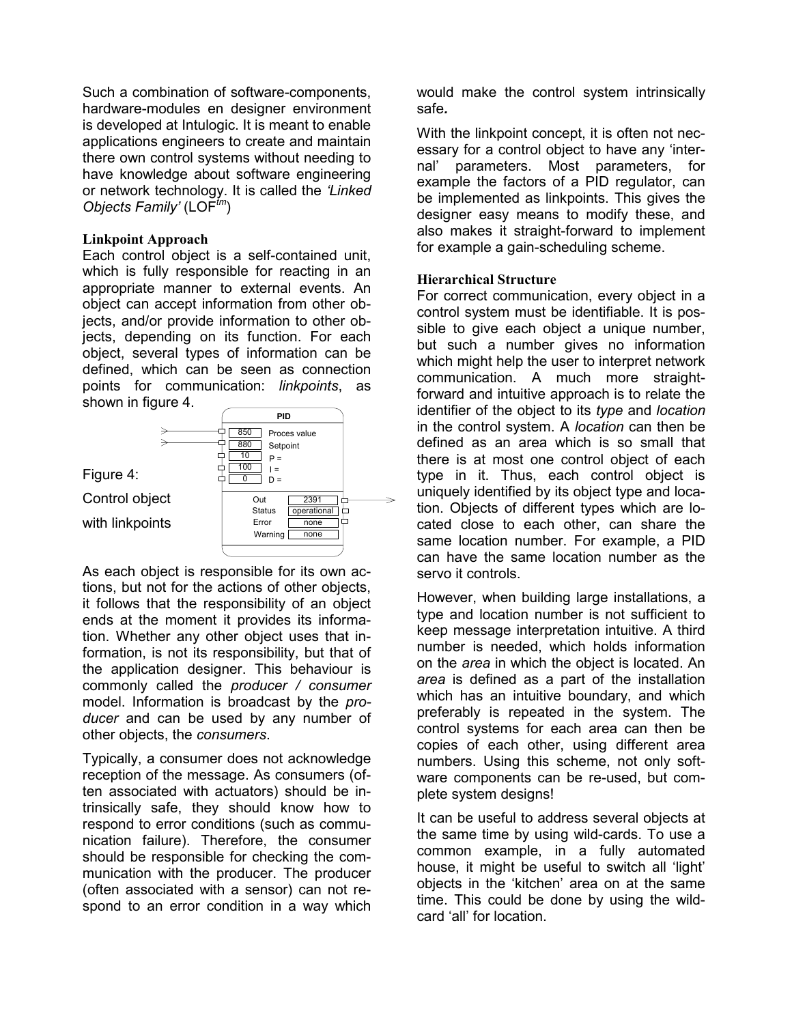Such a combination of software-components, hardware-modules en designer environment is developed at Intulogic. It is meant to enable applications engineers to create and maintain there own control systems without needing to have knowledge about software engineering or network technology. It is called the *'Linked Objects Family'* (LOF*tm*)

#### **Linkpoint Approach**

Each control object is a self-contained unit, which is fully responsible for reacting in an appropriate manner to external events. An object can accept information from other objects, and/or provide information to other objects, depending on its function. For each object, several types of information can be defined, which can be seen as connection points for communication: *linkpoints*, as shown in figure 4.



As each object is responsible for its own actions, but not for the actions of other objects, it follows that the responsibility of an object ends at the moment it provides its information. Whether any other object uses that information, is not its responsibility, but that of the application designer. This behaviour is commonly called the *producer / consumer* model. Information is broadcast by the *producer* and can be used by any number of other objects, the *consumers*.

Typically, a consumer does not acknowledge reception of the message. As consumers (often associated with actuators) should be intrinsically safe, they should know how to respond to error conditions (such as communication failure). Therefore, the consumer should be responsible for checking the communication with the producer. The producer (often associated with a sensor) can not respond to an error condition in a way which would make the control system intrinsically safe*.* 

With the linkpoint concept, it is often not necessary for a control object to have any 'internal' parameters. Most parameters, for example the factors of a PID regulator, can be implemented as linkpoints. This gives the designer easy means to modify these, and also makes it straight-forward to implement for example a gain-scheduling scheme.

## **Hierarchical Structure**

For correct communication, every object in a control system must be identifiable. It is possible to give each object a unique number, but such a number gives no information which might help the user to interpret network communication. A much more straightforward and intuitive approach is to relate the identifier of the object to its *type* and *location* in the control system. A *location* can then be defined as an area which is so small that there is at most one control object of each type in it. Thus, each control object is uniquely identified by its object type and location. Objects of different types which are located close to each other, can share the same location number. For example, a PID can have the same location number as the servo it controls.

However, when building large installations, a type and location number is not sufficient to keep message interpretation intuitive. A third number is needed, which holds information on the *area* in which the object is located. An *area* is defined as a part of the installation which has an intuitive boundary, and which preferably is repeated in the system. The control systems for each area can then be copies of each other, using different area numbers. Using this scheme, not only software components can be re-used, but complete system designs!

It can be useful to address several objects at the same time by using wild-cards. To use a common example, in a fully automated house, it might be useful to switch all 'light' objects in the 'kitchen' area on at the same time. This could be done by using the wildcard 'all' for location.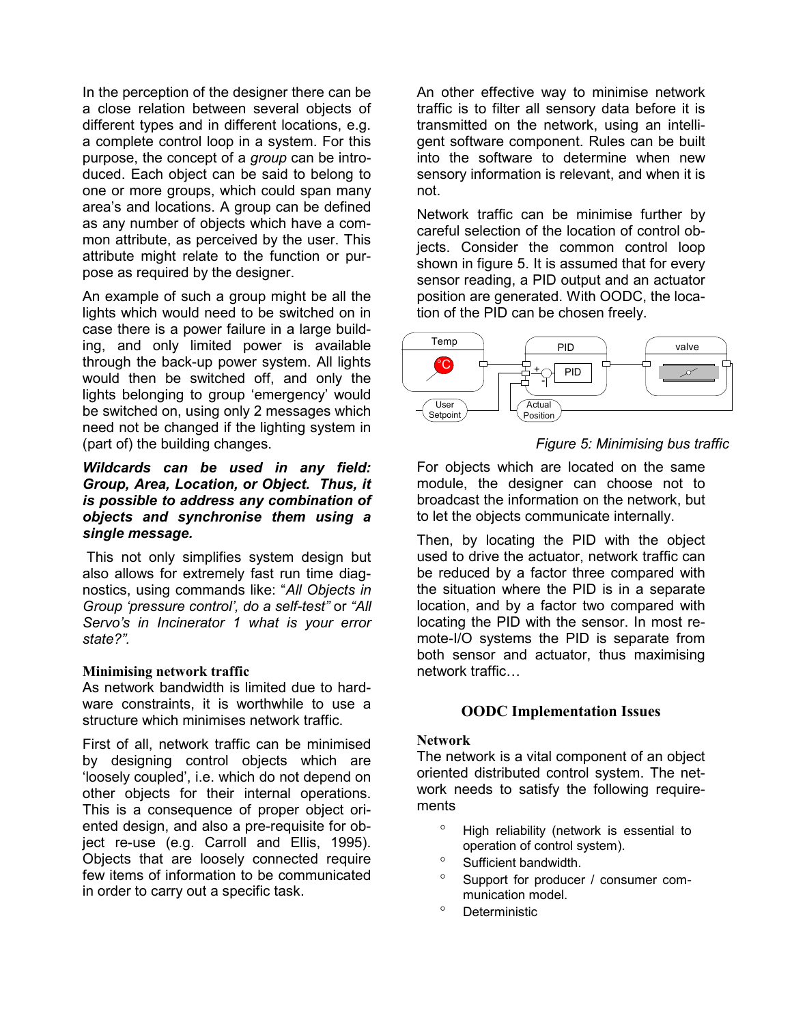In the perception of the designer there can be a close relation between several objects of different types and in different locations, e.g. a complete control loop in a system. For this purpose, the concept of a *group* can be introduced. Each object can be said to belong to one or more groups, which could span many area's and locations. A group can be defined as any number of objects which have a common attribute, as perceived by the user. This attribute might relate to the function or purpose as required by the designer.

An example of such a group might be all the lights which would need to be switched on in case there is a power failure in a large building, and only limited power is available through the back-up power system. All lights would then be switched off, and only the lights belonging to group 'emergency' would be switched on, using only 2 messages which need not be changed if the lighting system in (part of) the building changes.

#### *Wildcards can be used in any field: Group, Area, Location, or Object. Thus, it is possible to address any combination of objects and synchronise them using a single message.*

 This not only simplifies system design but also allows for extremely fast run time diagnostics, using commands like: "*All Objects in Group 'pressure control', do a self-test"* or *"All Servo's in Incinerator 1 what is your error state?".*

#### **Minimising network traffic**

As network bandwidth is limited due to hardware constraints, it is worthwhile to use a structure which minimises network traffic.

First of all, network traffic can be minimised by designing control objects which are 'loosely coupled', i.e. which do not depend on other objects for their internal operations. This is a consequence of proper object oriented design, and also a pre-requisite for object re-use (e.g. Carroll and Ellis, 1995). Objects that are loosely connected require few items of information to be communicated in order to carry out a specific task.

An other effective way to minimise network traffic is to filter all sensory data before it is transmitted on the network, using an intelligent software component. Rules can be built into the software to determine when new sensory information is relevant, and when it is not.

Network traffic can be minimise further by careful selection of the location of control objects. Consider the common control loop shown in figure 5. It is assumed that for every sensor reading, a PID output and an actuator position are generated. With OODC, the location of the PID can be chosen freely.



# *Figure 5: Minimising bus traffic*

For objects which are located on the same module, the designer can choose not to broadcast the information on the network, but to let the objects communicate internally.

Then, by locating the PID with the object used to drive the actuator, network traffic can be reduced by a factor three compared with the situation where the PID is in a separate location, and by a factor two compared with locating the PID with the sensor. In most remote-I/O systems the PID is separate from both sensor and actuator, thus maximising network traffic…

## **OODC Implementation Issues**

#### **Network**

The network is a vital component of an object oriented distributed control system. The network needs to satisfy the following requirements

- ° High reliability (network is essential to operation of control system).
- Sufficient bandwidth.
- ° Support for producer / consumer communication model.
- ° Deterministic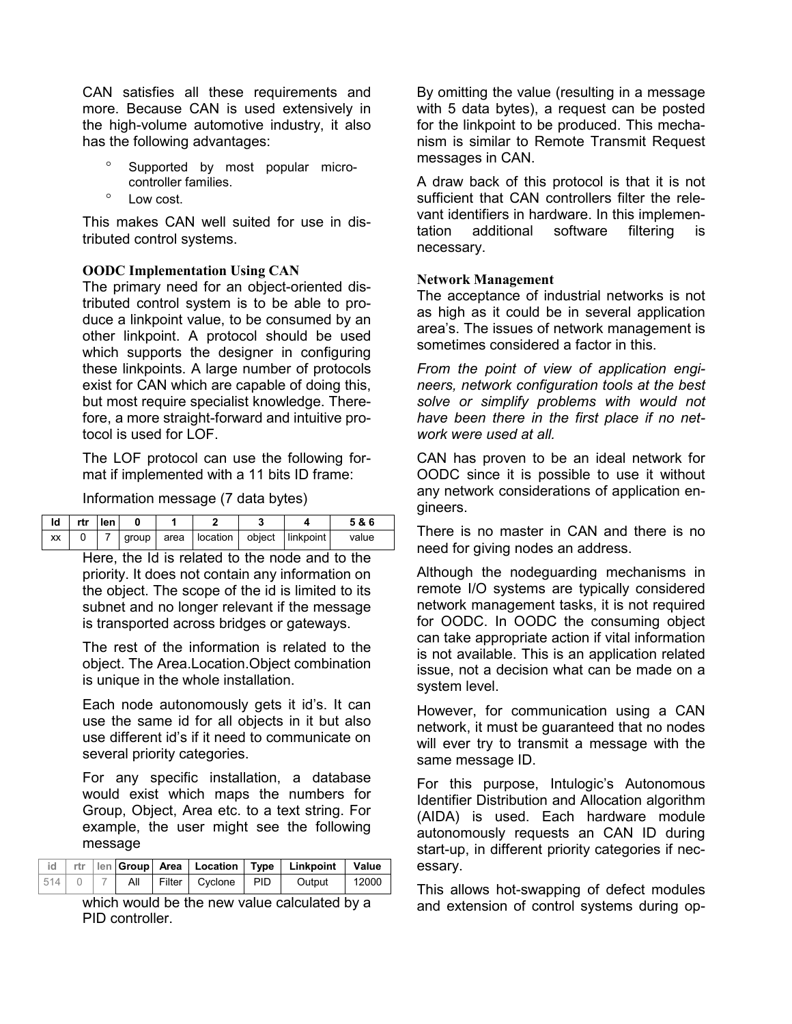CAN satisfies all these requirements and more. Because CAN is used extensively in the high-volume automotive industry, it also has the following advantages:

- Supported by most popular microcontroller families.
- ° Low cost.

This makes CAN well suited for use in distributed control systems.

## **OODC Implementation Using CAN**

The primary need for an object-oriented distributed control system is to be able to produce a linkpoint value, to be consumed by an other linkpoint. A protocol should be used which supports the designer in configuring these linkpoints. A large number of protocols exist for CAN which are capable of doing this, but most require specialist knowledge. Therefore, a more straight-forward and intuitive protocol is used for LOF.

The LOF protocol can use the following format if implemented with a 11 bits ID frame:

Information message (7 data bytes)

| <u>Id Intrileni</u> |  |  |                                              |  | 5&6   |
|---------------------|--|--|----------------------------------------------|--|-------|
| XX                  |  |  | group   area   location   object   linkpoint |  | value |

Here, the Id is related to the node and to the priority. It does not contain any information on the object. The scope of the id is limited to its subnet and no longer relevant if the message is transported across bridges or gateways.

The rest of the information is related to the object. The Area.Location.Object combination is unique in the whole installation.

Each node autonomously gets it id's. It can use the same id for all objects in it but also use different id's if it need to communicate on several priority categories.

For any specific installation, a database would exist which maps the numbers for Group, Object, Area etc. to a text string. For example, the user might see the following message

|     |  |     |                    | id   rtr   len   Group   Area   Location   Type   Linkpoint   Value |       |
|-----|--|-----|--------------------|---------------------------------------------------------------------|-------|
| 514 |  | All | Filter Cyclone PID | Output                                                              | 12000 |

which would be the new value calculated by a PID controller.

By omitting the value (resulting in a message with 5 data bytes), a request can be posted for the linkpoint to be produced. This mechanism is similar to Remote Transmit Request messages in CAN.

A draw back of this protocol is that it is not sufficient that CAN controllers filter the relevant identifiers in hardware. In this implementation additional software filtering is necessary.

#### **Network Management**

The acceptance of industrial networks is not as high as it could be in several application area's. The issues of network management is sometimes considered a factor in this.

*From the point of view of application engineers, network configuration tools at the best solve or simplify problems with would not have been there in the first place if no network were used at all.* 

CAN has proven to be an ideal network for OODC since it is possible to use it without any network considerations of application engineers.

There is no master in CAN and there is no need for giving nodes an address.

Although the nodeguarding mechanisms in remote I/O systems are typically considered network management tasks, it is not required for OODC. In OODC the consuming object can take appropriate action if vital information is not available. This is an application related issue, not a decision what can be made on a system level.

However, for communication using a CAN network, it must be guaranteed that no nodes will ever try to transmit a message with the same message ID.

For this purpose, Intulogic's Autonomous Identifier Distribution and Allocation algorithm (AIDA) is used. Each hardware module autonomously requests an CAN ID during start-up, in different priority categories if necessary.

This allows hot-swapping of defect modules and extension of control systems during op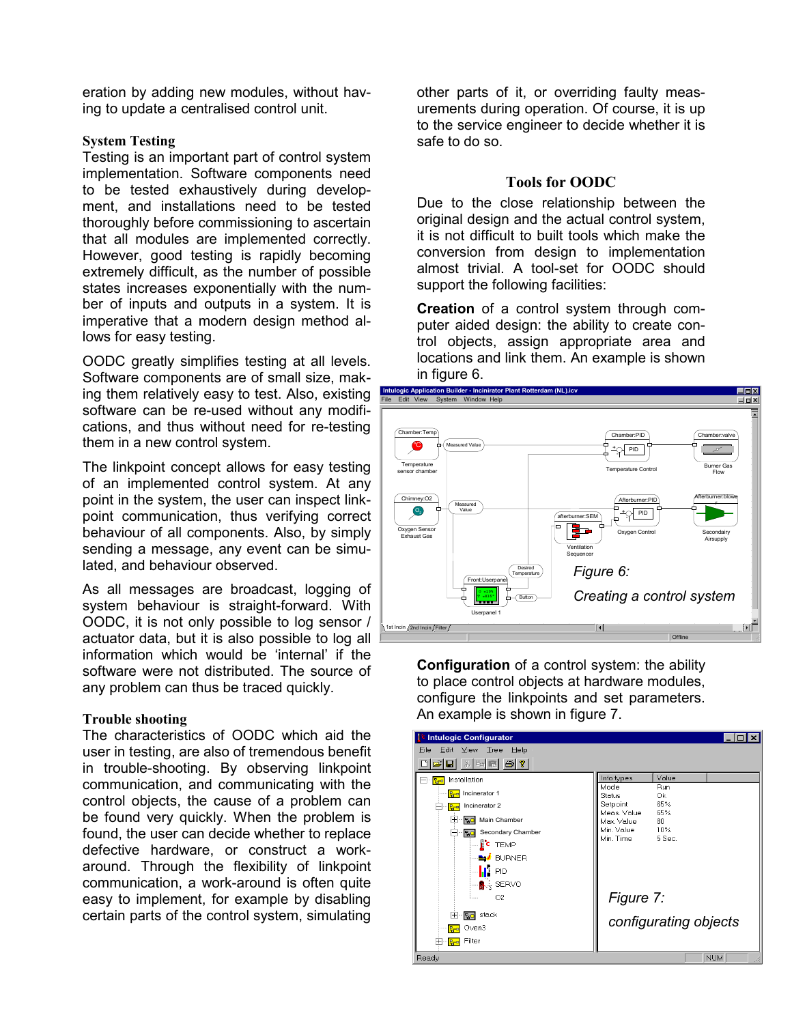eration by adding new modules, without having to update a centralised control unit.

#### **System Testing**

Testing is an important part of control system implementation. Software components need to be tested exhaustively during development, and installations need to be tested thoroughly before commissioning to ascertain that all modules are implemented correctly. However, good testing is rapidly becoming extremely difficult, as the number of possible states increases exponentially with the number of inputs and outputs in a system. It is imperative that a modern design method allows for easy testing.

OODC greatly simplifies testing at all levels. Software components are of small size, making them relatively easy to test. Also, existing software can be re-used without any modifications, and thus without need for re-testing them in a new control system.

The linkpoint concept allows for easy testing of an implemented control system. At any point in the system, the user can inspect linkpoint communication, thus verifying correct behaviour of all components. Also, by simply sending a message, any event can be simulated, and behaviour observed.

As all messages are broadcast, logging of system behaviour is straight-forward. With OODC, it is not only possible to log sensor / actuator data, but it is also possible to log all information which would be 'internal' if the software were not distributed. The source of any problem can thus be traced quickly.

#### **Trouble shooting**

The characteristics of OODC which aid the user in testing, are also of tremendous benefit in trouble-shooting. By observing linkpoint communication, and communicating with the control objects, the cause of a problem can be found very quickly. When the problem is found, the user can decide whether to replace defective hardware, or construct a workaround. Through the flexibility of linkpoint communication, a work-around is often quite easy to implement, for example by disabling certain parts of the control system, simulating

other parts of it, or overriding faulty measurements during operation. Of course, it is up to the service engineer to decide whether it is safe to do so.

#### **Tools for OODC**

Due to the close relationship between the original design and the actual control system, it is not difficult to built tools which make the conversion from design to implementation almost trivial. A tool-set for OODC should support the following facilities:

**Creation** of a control system through computer aided design: the ability to create control objects, assign appropriate area and locations and link them. An example is shown in figure 6.



**Configuration** of a control system: the ability to place control objects at hardware modules, configure the linkpoints and set parameters. An example is shown in figure 7.

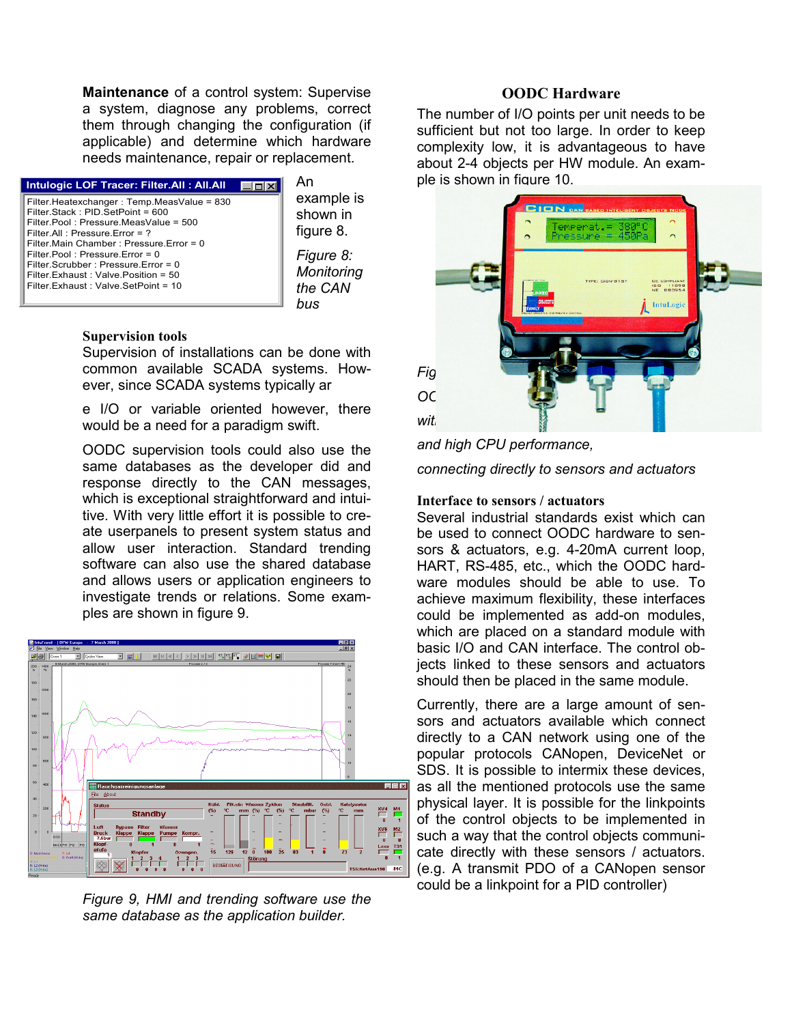**Maintenance** of a control system: Supervise a system, diagnose any problems, correct them through changing the configuration (if applicable) and determine which hardware needs maintenance, repair or replacement.

| Intulogic LOF Tracer: Filter.All: All.All  |  |
|--------------------------------------------|--|
| Filter.Heatexchanger: Temp.MeasValue = 830 |  |
| Filter Stack: PID SetPoint = 600           |  |
| Filter Pool: Pressure MeasValue = 500      |  |
| Filter All: Pressure Error = ?             |  |
| Filter Main Chamber: Pressure Error = 0    |  |
| Filter Pool: Pressure Error = $0$          |  |
| Filter Scrubber: Pressure Error = 0        |  |
| Filter Exhaust: Valve Position = 50        |  |
| Filter Exhaust: Valve SetPoint = 10        |  |
|                                            |  |

An

example is shown in figure 8. *Figure 8: Monitoring the CAN bus* 

#### **Supervision tools**

Supervision of installations can be done with common available SCADA systems. However, since SCADA systems typically ar

e I/O or variable oriented however, there would be a need for a paradigm swift.

OODC supervision tools could also use the same databases as the developer did and response directly to the CAN messages, which is exceptional straightforward and intuitive. With very little effort it is possible to create userpanels to present system status and allow user interaction. Standard trending software can also use the shared database and allows users or application engineers to investigate trends or relations. Some examples are shown in figure 9.



*Figure 9, HMI and trending software use the same database as the application builder.* 

# **OODC Hardware**

The number of I/O points per unit needs to be sufficient but not too large. In order to keep complexity low, it is advantageous to have about 2-4 objects per HW module. An example is shown in figure 10.



*and high CPU performance,* 

*connecting directly to sensors and actuators* 

#### **Interface to sensors / actuators**

Several industrial standards exist which can be used to connect OODC hardware to sensors & actuators, e.g. 4-20mA current loop, HART, RS-485, etc., which the OODC hardware modules should be able to use. To achieve maximum flexibility, these interfaces could be implemented as add-on modules, which are placed on a standard module with basic I/O and CAN interface. The control objects linked to these sensors and actuators should then be placed in the same module.

Currently, there are a large amount of sensors and actuators available which connect directly to a CAN network using one of the popular protocols CANopen, DeviceNet or SDS. It is possible to intermix these devices, as all the mentioned protocols use the same physical layer. It is possible for the linkpoints of the control objects to be implemented in such a way that the control objects communicate directly with these sensors / actuators. (e.g. A transmit PDO of a CANopen sensor could be a linkpoint for a PID controller)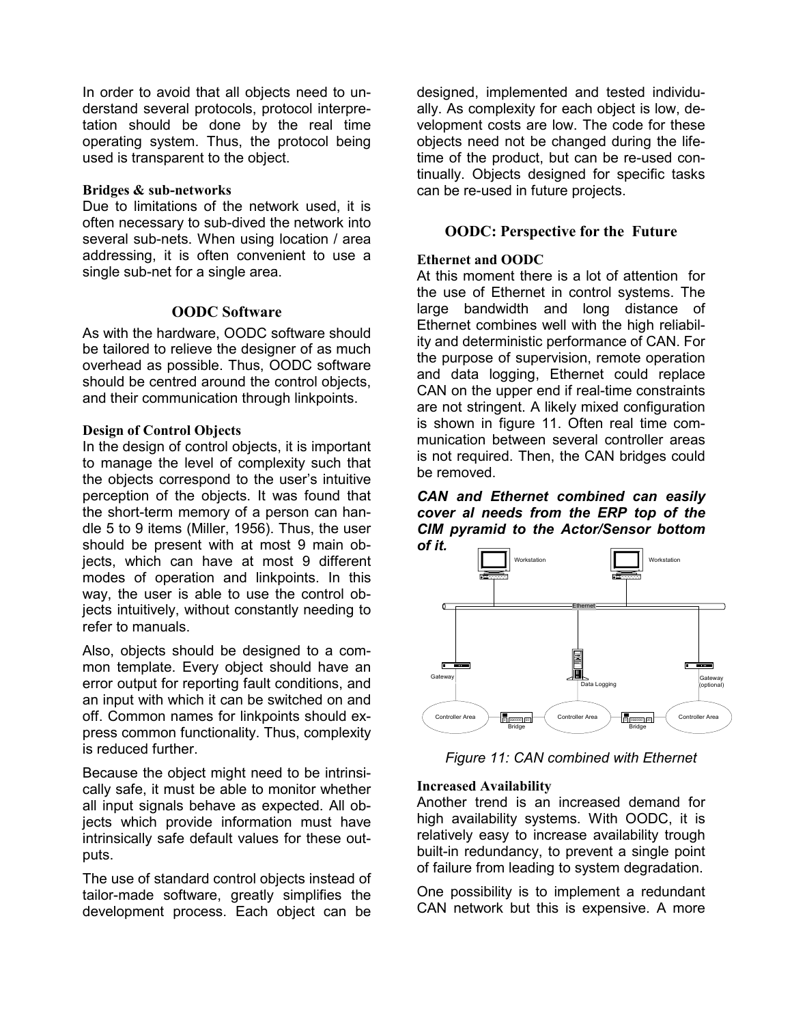In order to avoid that all objects need to understand several protocols, protocol interpretation should be done by the real time operating system. Thus, the protocol being used is transparent to the object.

#### **Bridges & sub-networks**

Due to limitations of the network used, it is often necessary to sub-dived the network into several sub-nets. When using location / area addressing, it is often convenient to use a single sub-net for a single area.

#### **OODC Software**

As with the hardware, OODC software should be tailored to relieve the designer of as much overhead as possible. Thus, OODC software should be centred around the control objects, and their communication through linkpoints.

#### **Design of Control Objects**

In the design of control objects, it is important to manage the level of complexity such that the objects correspond to the user's intuitive perception of the objects. It was found that the short-term memory of a person can handle 5 to 9 items (Miller, 1956). Thus, the user should be present with at most 9 main objects, which can have at most 9 different modes of operation and linkpoints. In this way, the user is able to use the control objects intuitively, without constantly needing to refer to manuals.

Also, objects should be designed to a common template. Every object should have an error output for reporting fault conditions, and an input with which it can be switched on and off. Common names for linkpoints should express common functionality. Thus, complexity is reduced further.

Because the object might need to be intrinsically safe, it must be able to monitor whether all input signals behave as expected. All objects which provide information must have intrinsically safe default values for these outputs.

The use of standard control objects instead of tailor-made software, greatly simplifies the development process. Each object can be

designed, implemented and tested individually. As complexity for each object is low, development costs are low. The code for these objects need not be changed during the lifetime of the product, but can be re-used continually. Objects designed for specific tasks can be re-used in future projects.

#### **OODC: Perspective for the Future**

#### **Ethernet and OODC**

At this moment there is a lot of attention for the use of Ethernet in control systems. The large bandwidth and long distance of Ethernet combines well with the high reliability and deterministic performance of CAN. For the purpose of supervision, remote operation and data logging, Ethernet could replace CAN on the upper end if real-time constraints are not stringent. A likely mixed configuration is shown in figure 11. Often real time communication between several controller areas is not required. Then, the CAN bridges could be removed.

*CAN and Ethernet combined can easily cover al needs from the ERP top of the CIM pyramid to the Actor/Sensor bottom of it.* 



*Figure 11: CAN combined with Ethernet*

#### **Increased Availability**

Another trend is an increased demand for high availability systems. With OODC, it is relatively easy to increase availability trough built-in redundancy, to prevent a single point of failure from leading to system degradation.

One possibility is to implement a redundant CAN network but this is expensive. A more